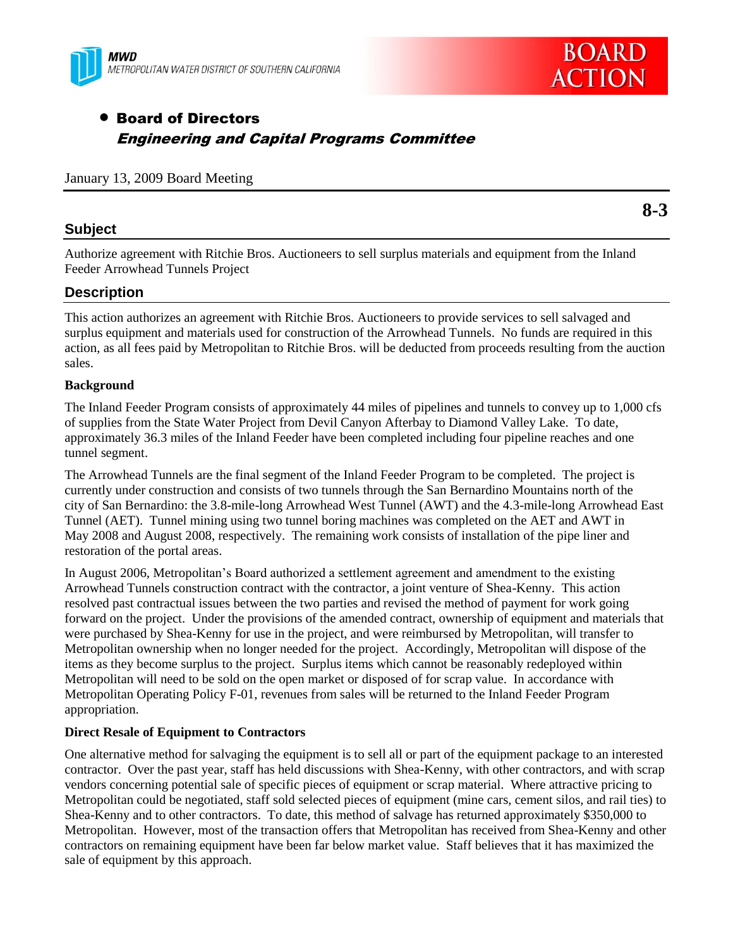



# Board of Directors Engineering and Capital Programs Committee

| January 13, 2009 Board Meeting |  |  |  |
|--------------------------------|--|--|--|
|--------------------------------|--|--|--|

## **Subject**

Authorize agreement with Ritchie Bros. Auctioneers to sell surplus materials and equipment from the Inland Feeder Arrowhead Tunnels Project

## **Description**

This action authorizes an agreement with Ritchie Bros. Auctioneers to provide services to sell salvaged and surplus equipment and materials used for construction of the Arrowhead Tunnels. No funds are required in this action, as all fees paid by Metropolitan to Ritchie Bros. will be deducted from proceeds resulting from the auction sales.

### **Background**

The Inland Feeder Program consists of approximately 44 miles of pipelines and tunnels to convey up to 1,000 cfs of supplies from the State Water Project from Devil Canyon Afterbay to Diamond Valley Lake. To date, approximately 36.3 miles of the Inland Feeder have been completed including four pipeline reaches and one tunnel segment.

The Arrowhead Tunnels are the final segment of the Inland Feeder Program to be completed. The project is currently under construction and consists of two tunnels through the San Bernardino Mountains north of the city of San Bernardino: the 3.8-mile-long Arrowhead West Tunnel (AWT) and the 4.3-mile-long Arrowhead East Tunnel (AET). Tunnel mining using two tunnel boring machines was completed on the AET and AWT in May 2008 and August 2008, respectively. The remaining work consists of installation of the pipe liner and restoration of the portal areas.

In August 2006, Metropolitan's Board authorized a settlement agreement and amendment to the existing Arrowhead Tunnels construction contract with the contractor, a joint venture of Shea-Kenny. This action resolved past contractual issues between the two parties and revised the method of payment for work going forward on the project. Under the provisions of the amended contract, ownership of equipment and materials that were purchased by Shea-Kenny for use in the project, and were reimbursed by Metropolitan, will transfer to Metropolitan ownership when no longer needed for the project. Accordingly, Metropolitan will dispose of the items as they become surplus to the project. Surplus items which cannot be reasonably redeployed within Metropolitan will need to be sold on the open market or disposed of for scrap value. In accordance with Metropolitan Operating Policy F-01, revenues from sales will be returned to the Inland Feeder Program appropriation.

### **Direct Resale of Equipment to Contractors**

One alternative method for salvaging the equipment is to sell all or part of the equipment package to an interested contractor. Over the past year, staff has held discussions with Shea-Kenny, with other contractors, and with scrap vendors concerning potential sale of specific pieces of equipment or scrap material. Where attractive pricing to Metropolitan could be negotiated, staff sold selected pieces of equipment (mine cars, cement silos, and rail ties) to Shea-Kenny and to other contractors. To date, this method of salvage has returned approximately \$350,000 to Metropolitan. However, most of the transaction offers that Metropolitan has received from Shea-Kenny and other contractors on remaining equipment have been far below market value. Staff believes that it has maximized the sale of equipment by this approach.

**8-3**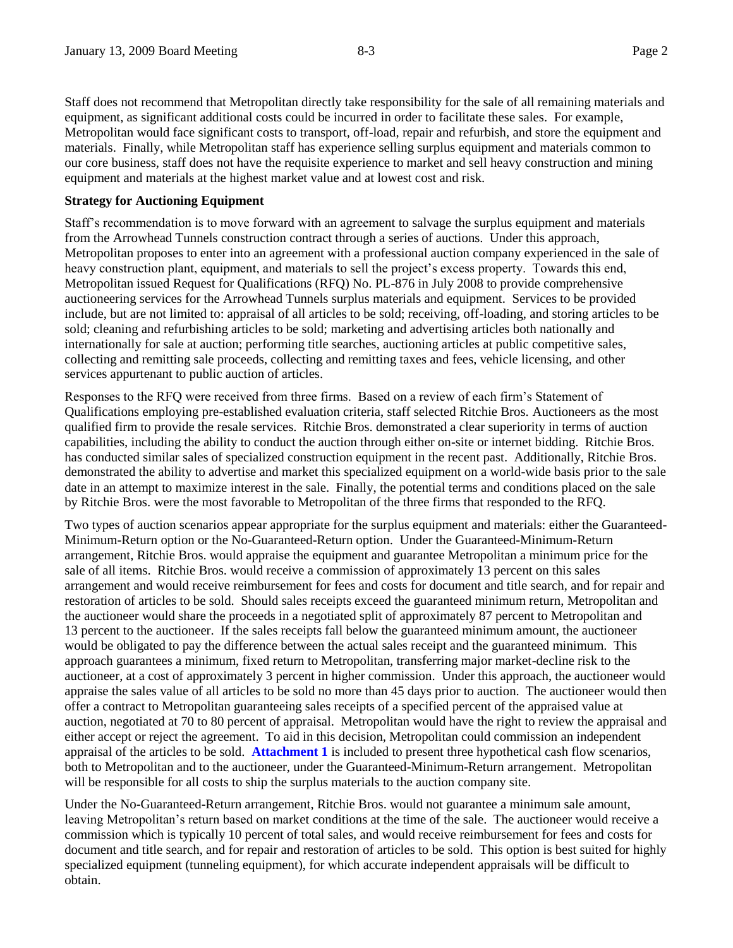Staff does not recommend that Metropolitan directly take responsibility for the sale of all remaining materials and equipment, as significant additional costs could be incurred in order to facilitate these sales. For example, Metropolitan would face significant costs to transport, off-load, repair and refurbish, and store the equipment and materials. Finally, while Metropolitan staff has experience selling surplus equipment and materials common to our core business, staff does not have the requisite experience to market and sell heavy construction and mining equipment and materials at the highest market value and at lowest cost and risk.

#### **Strategy for Auctioning Equipment**

Staff's recommendation is to move forward with an agreement to salvage the surplus equipment and materials from the Arrowhead Tunnels construction contract through a series of auctions. Under this approach, Metropolitan proposes to enter into an agreement with a professional auction company experienced in the sale of heavy construction plant, equipment, and materials to sell the project's excess property. Towards this end, Metropolitan issued Request for Qualifications (RFQ) No. PL-876 in July 2008 to provide comprehensive auctioneering services for the Arrowhead Tunnels surplus materials and equipment. Services to be provided include, but are not limited to: appraisal of all articles to be sold; receiving, off-loading, and storing articles to be sold; cleaning and refurbishing articles to be sold; marketing and advertising articles both nationally and internationally for sale at auction; performing title searches, auctioning articles at public competitive sales, collecting and remitting sale proceeds, collecting and remitting taxes and fees, vehicle licensing, and other services appurtenant to public auction of articles.

Responses to the RFQ were received from three firms. Based on a review of each firm's Statement of Qualifications employing pre-established evaluation criteria, staff selected Ritchie Bros. Auctioneers as the most qualified firm to provide the resale services. Ritchie Bros. demonstrated a clear superiority in terms of auction capabilities, including the ability to conduct the auction through either on-site or internet bidding. Ritchie Bros. has conducted similar sales of specialized construction equipment in the recent past. Additionally, Ritchie Bros. demonstrated the ability to advertise and market this specialized equipment on a world-wide basis prior to the sale date in an attempt to maximize interest in the sale. Finally, the potential terms and conditions placed on the sale by Ritchie Bros. were the most favorable to Metropolitan of the three firms that responded to the RFQ.

Two types of auction scenarios appear appropriate for the surplus equipment and materials: either the Guaranteed-Minimum-Return option or the No-Guaranteed-Return option. Under the Guaranteed-Minimum-Return arrangement, Ritchie Bros. would appraise the equipment and guarantee Metropolitan a minimum price for the sale of all items. Ritchie Bros. would receive a commission of approximately 13 percent on this sales arrangement and would receive reimbursement for fees and costs for document and title search, and for repair and restoration of articles to be sold. Should sales receipts exceed the guaranteed minimum return, Metropolitan and the auctioneer would share the proceeds in a negotiated split of approximately 87 percent to Metropolitan and 13 percent to the auctioneer. If the sales receipts fall below the guaranteed minimum amount, the auctioneer would be obligated to pay the difference between the actual sales receipt and the guaranteed minimum. This approach guarantees a minimum, fixed return to Metropolitan, transferring major market-decline risk to the auctioneer, at a cost of approximately 3 percent in higher commission. Under this approach, the auctioneer would appraise the sales value of all articles to be sold no more than 45 days prior to auction. The auctioneer would then offer a contract to Metropolitan guaranteeing sales receipts of a specified percent of the appraised value at auction, negotiated at 70 to 80 percent of appraisal. Metropolitan would have the right to review the appraisal and either accept or reject the agreement. To aid in this decision, Metropolitan could commission an independent appraisal of the articles to be sold. **Attachment 1** is included to present three hypothetical cash flow scenarios, both to Metropolitan and to the auctioneer, under the Guaranteed-Minimum-Return arrangement. Metropolitan will be responsible for all costs to ship the surplus materials to the auction company site.

Under the No-Guaranteed-Return arrangement, Ritchie Bros. would not guarantee a minimum sale amount, leaving Metropolitan's return based on market conditions at the time of the sale. The auctioneer would receive a commission which is typically 10 percent of total sales, and would receive reimbursement for fees and costs for document and title search, and for repair and restoration of articles to be sold. This option is best suited for highly specialized equipment (tunneling equipment), for which accurate independent appraisals will be difficult to obtain.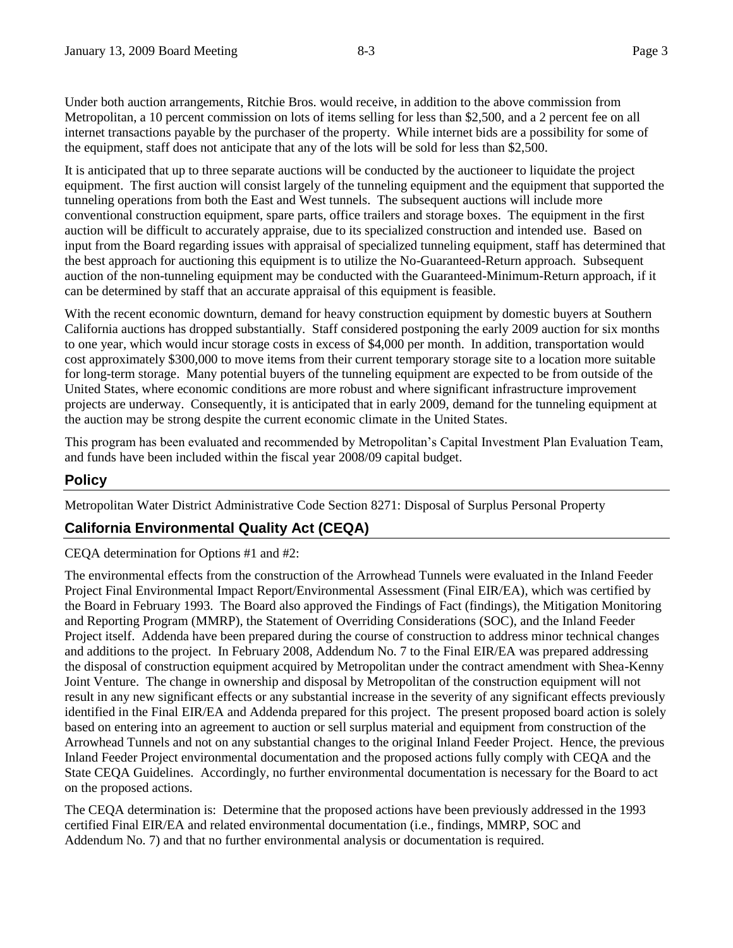Under both auction arrangements, Ritchie Bros. would receive, in addition to the above commission from Metropolitan, a 10 percent commission on lots of items selling for less than \$2,500, and a 2 percent fee on all internet transactions payable by the purchaser of the property. While internet bids are a possibility for some of the equipment, staff does not anticipate that any of the lots will be sold for less than \$2,500.

It is anticipated that up to three separate auctions will be conducted by the auctioneer to liquidate the project equipment. The first auction will consist largely of the tunneling equipment and the equipment that supported the tunneling operations from both the East and West tunnels. The subsequent auctions will include more conventional construction equipment, spare parts, office trailers and storage boxes. The equipment in the first auction will be difficult to accurately appraise, due to its specialized construction and intended use. Based on input from the Board regarding issues with appraisal of specialized tunneling equipment, staff has determined that the best approach for auctioning this equipment is to utilize the No-Guaranteed-Return approach. Subsequent auction of the non-tunneling equipment may be conducted with the Guaranteed-Minimum-Return approach, if it can be determined by staff that an accurate appraisal of this equipment is feasible.

With the recent economic downturn, demand for heavy construction equipment by domestic buyers at Southern California auctions has dropped substantially. Staff considered postponing the early 2009 auction for six months to one year, which would incur storage costs in excess of \$4,000 per month. In addition, transportation would cost approximately \$300,000 to move items from their current temporary storage site to a location more suitable for long-term storage. Many potential buyers of the tunneling equipment are expected to be from outside of the United States, where economic conditions are more robust and where significant infrastructure improvement projects are underway. Consequently, it is anticipated that in early 2009, demand for the tunneling equipment at the auction may be strong despite the current economic climate in the United States.

This program has been evaluated and recommended by Metropolitan's Capital Investment Plan Evaluation Team, and funds have been included within the fiscal year 2008/09 capital budget.

## **Policy**

Metropolitan Water District Administrative Code Section 8271: Disposal of Surplus Personal Property

## **California Environmental Quality Act (CEQA)**

CEQA determination for Options #1 and #2:

The environmental effects from the construction of the Arrowhead Tunnels were evaluated in the Inland Feeder Project Final Environmental Impact Report/Environmental Assessment (Final EIR/EA), which was certified by the Board in February 1993. The Board also approved the Findings of Fact (findings), the Mitigation Monitoring and Reporting Program (MMRP), the Statement of Overriding Considerations (SOC), and the Inland Feeder Project itself. Addenda have been prepared during the course of construction to address minor technical changes and additions to the project. In February 2008, Addendum No. 7 to the Final EIR/EA was prepared addressing the disposal of construction equipment acquired by Metropolitan under the contract amendment with Shea-Kenny Joint Venture. The change in ownership and disposal by Metropolitan of the construction equipment will not result in any new significant effects or any substantial increase in the severity of any significant effects previously identified in the Final EIR/EA and Addenda prepared for this project. The present proposed board action is solely based on entering into an agreement to auction or sell surplus material and equipment from construction of the Arrowhead Tunnels and not on any substantial changes to the original Inland Feeder Project. Hence, the previous Inland Feeder Project environmental documentation and the proposed actions fully comply with CEQA and the State CEQA Guidelines. Accordingly, no further environmental documentation is necessary for the Board to act on the proposed actions.

The CEQA determination is: Determine that the proposed actions have been previously addressed in the 1993 certified Final EIR/EA and related environmental documentation (i.e., findings, MMRP, SOC and Addendum No. 7) and that no further environmental analysis or documentation is required.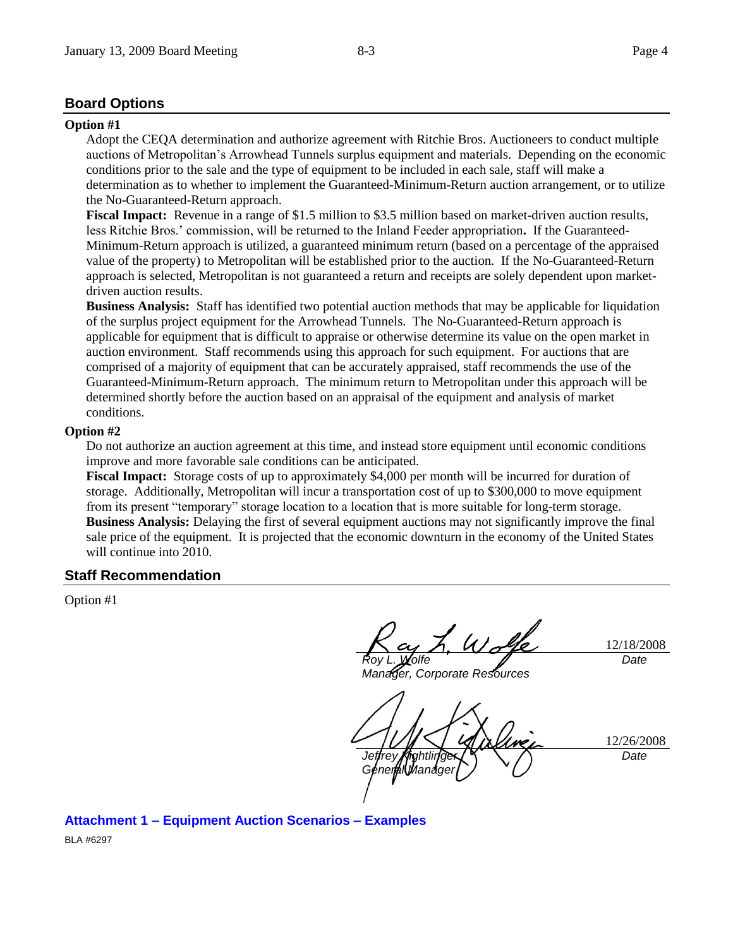### **Board Options**

#### **Option #1**

Adopt the CEQA determination and authorize agreement with Ritchie Bros. Auctioneers to conduct multiple auctions of Metropolitan's Arrowhead Tunnels surplus equipment and materials. Depending on the economic conditions prior to the sale and the type of equipment to be included in each sale, staff will make a determination as to whether to implement the Guaranteed-Minimum-Return auction arrangement, or to utilize the No-Guaranteed-Return approach.

**Fiscal Impact:** Revenue in a range of \$1.5 million to \$3.5 million based on market-driven auction results, less Ritchie Bros.' commission, will be returned to the Inland Feeder appropriation**.** If the Guaranteed-Minimum-Return approach is utilized, a guaranteed minimum return (based on a percentage of the appraised value of the property) to Metropolitan will be established prior to the auction. If the No-Guaranteed-Return approach is selected, Metropolitan is not guaranteed a return and receipts are solely dependent upon marketdriven auction results.

**Business Analysis:** Staff has identified two potential auction methods that may be applicable for liquidation of the surplus project equipment for the Arrowhead Tunnels. The No-Guaranteed-Return approach is applicable for equipment that is difficult to appraise or otherwise determine its value on the open market in auction environment. Staff recommends using this approach for such equipment. For auctions that are comprised of a majority of equipment that can be accurately appraised, staff recommends the use of the Guaranteed-Minimum-Return approach. The minimum return to Metropolitan under this approach will be determined shortly before the auction based on an appraisal of the equipment and analysis of market conditions.

#### **Option #2**

Do not authorize an auction agreement at this time, and instead store equipment until economic conditions improve and more favorable sale conditions can be anticipated.

**Fiscal Impact:** Storage costs of up to approximately \$4,000 per month will be incurred for duration of storage. Additionally, Metropolitan will incur a transportation cost of up to \$300,000 to move equipment from its present "temporary" storage location to a location that is more suitable for long-term storage. **Business Analysis:** Delaying the first of several equipment auctions may not significantly improve the final sale price of the equipment. It is projected that the economic downturn in the economy of the United States will continue into 2010.

#### **Staff Recommendation**

Option #1

L. Wolfe *Roy L. Wolfe*

*Manager, Corporate Resources*

12/18/2008 *Date*

12/26/2008 *Jeffrey Kightlinger General Manager Date*

**Attachment 1 – Equipment Auction Scenarios – Examples** BLA #6297